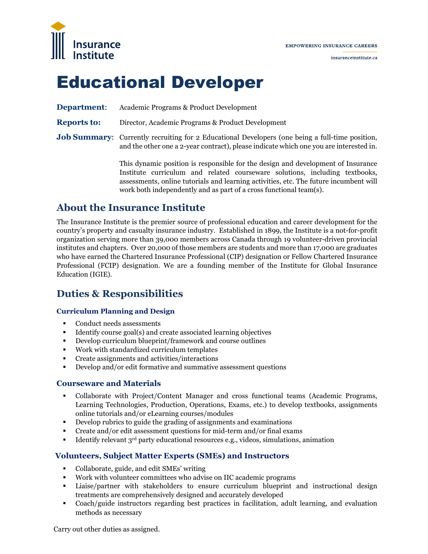

# Educational Developer

**Department**: Academic Programs & Product Development

**Reports to:** Director, Academic Programs & Product Development

**Job Summary:** Currently recruiting for 2 Educational Developers (one being a full-time position, and the other one a 2-year contract), please indicate which one you are interested in.

> This dynamic position is responsible for the design and development of Insurance Institute curriculum and related courseware solutions, including textbooks, assessments, online tutorials and learning activities, etc. The future incumbent will work both independently and as part of a cross functional team(s).

## **About the Insurance Institute**

The Insurance Institute is the premier source of professional education and career development for the country's property and casualty insurance industry. Established in 1899, the Institute is a not-for-profit organization serving more than 39,000 members across Canada through 19 volunteer-driven provincial institutes and chapters. Over 20,000 of those members are students and more than 17,000 are graduates who have earned the Chartered Insurance Professional (CIP) designation or Fellow Chartered Insurance Professional (FCIP) designation. We are a [founding member](http://www.insuranceinstitute.ca/en/about-the-institute/international-recognition.aspx) of the Institute for Global Insurance Education (IGIE).

## **Duties & Responsibilities**

#### **Curriculum Planning and Design**

- Conduct needs assessments
- Identify course goal(s) and create associated learning objectives
- Develop curriculum blueprint/framework and course outlines
- Work with standardized curriculum templates
- Create assignments and activities/interactions
- Develop and/or edit formative and summative assessment questions

#### **Courseware and Materials**

- Collaborate with Project/Content Manager and cross functional teams (Academic Programs, Learning Technologies, Production, Operations, Exams, etc.) to develop textbooks, assignments online tutorials and/or eLearning courses/modules
- Develop rubrics to guide the grading of assignments and examinations
- Create and/or edit assessment questions for mid-term and/or final exams
- **IDENTIFY** relevant 3<sup>rd</sup> party educational resources e.g., videos, simulations, animation

## **Volunteers, Subject Matter Experts (SMEs) and Instructors**

- Collaborate, guide, and edit SMEs' writing
- Work with volunteer committees who advise on IIC academic programs
- Liaise/partner with stakeholders to ensure curriculum blueprint and instructional design treatments are comprehensively designed and accurately developed
- Coach/guide instructors regarding best practices in facilitation, adult learning, and evaluation methods as necessary

Carry out other duties as assigned.